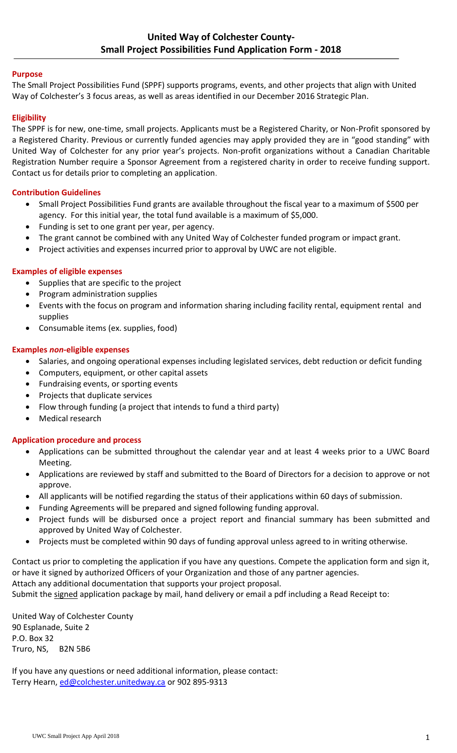### **Purpose**

The Small Project Possibilities Fund (SPPF) supports programs, events, and other projects that align with United Way of Colchester's 3 focus areas, as well as areas identified in our December 2016 Strategic Plan.

## **Eligibility**

The SPPF is for new, one-time, small projects. Applicants must be a Registered Charity, or Non-Profit sponsored by a Registered Charity. Previous or currently funded agencies may apply provided they are in "good standing" with United Way of Colchester for any prior year's projects. Non-profit organizations without a Canadian Charitable Registration Number require a Sponsor Agreement from a registered charity in order to receive funding support. Contact us for details prior to completing an application.

## **Contribution Guidelines**

- Small Project Possibilities Fund grants are available throughout the fiscal year to a maximum of \$500 per agency. For this initial year, the total fund available is a maximum of \$5,000.
- Funding is set to one grant per year, per agency.
- The grant cannot be combined with any United Way of Colchester funded program or impact grant.
- Project activities and expenses incurred prior to approval by UWC are not eligible.

## **Examples of eligible expenses**

- Supplies that are specific to the project
- Program administration supplies
- Events with the focus on program and information sharing including facility rental, equipment rental and supplies
- Consumable items (ex. supplies, food)

## **Examples** *non-***eligible expenses**

- Salaries, and ongoing operational expenses including legislated services, debt reduction or deficit funding
- Computers, equipment, or other capital assets
- Fundraising events, or sporting events
- Projects that duplicate services
- Flow through funding (a project that intends to fund a third party)
- Medical research

### **Application procedure and process**

- Applications can be submitted throughout the calendar year and at least 4 weeks prior to a UWC Board Meeting.
- Applications are reviewed by staff and submitted to the Board of Directors for a decision to approve or not approve.
- All applicants will be notified regarding the status of their applications within 60 days of submission.
- Funding Agreements will be prepared and signed following funding approval.
- Project funds will be disbursed once a project report and financial summary has been submitted and approved by United Way of Colchester.
- Projects must be completed within 90 days of funding approval unless agreed to in writing otherwise.

Contact us prior to completing the application if you have any questions. Compete the application form and sign it, or have it signed by authorized Officers of your Organization and those of any partner agencies.

Attach any additional documentation that supports your project proposal.

Submit the signed application package by mail, hand delivery or email a pdf including a Read Receipt to:

United Way of Colchester County 90 Esplanade, Suite 2 P.O. Box 32 Truro, NS, B2N 5B6

If you have any questions or need additional information, please contact: Terry Hearn, [ed@colchester.unitedway.ca](mailto:ed@colchester.unitedway.ca) or 902 895-9313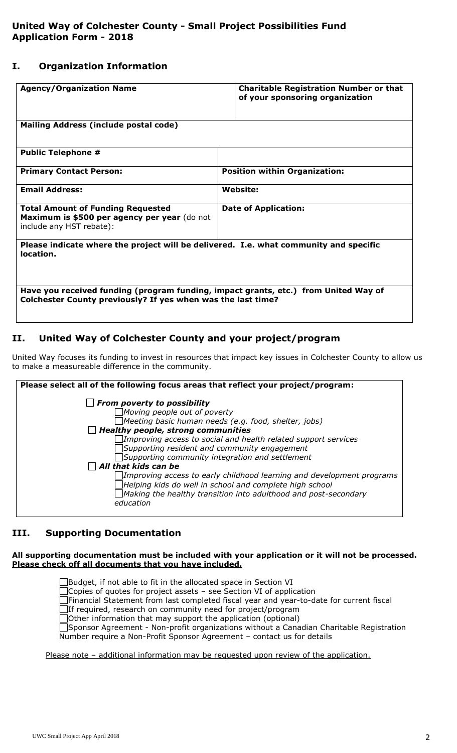## **I. Organization Information**

| <b>Agency/Organization Name</b>                                                                                      | <b>Charitable Registration Number or that</b><br>of your sponsoring organization |  |  |
|----------------------------------------------------------------------------------------------------------------------|----------------------------------------------------------------------------------|--|--|
| Mailing Address (include postal code)                                                                                |                                                                                  |  |  |
| <b>Public Telephone #</b>                                                                                            |                                                                                  |  |  |
| <b>Primary Contact Person:</b>                                                                                       | <b>Position within Organization:</b>                                             |  |  |
| <b>Email Address:</b>                                                                                                | <b>Website:</b>                                                                  |  |  |
| <b>Total Amount of Funding Requested</b><br>Maximum is \$500 per agency per year (do not<br>include any HST rebate): | <b>Date of Application:</b>                                                      |  |  |
| Please indicate where the project will be delivered. I.e. what community and specific<br>location.                   |                                                                                  |  |  |
| Have you received funding (program funding, impact grants, etc.) from United Way of                                  |                                                                                  |  |  |
| Colchester County previously? If yes when was the last time?                                                         |                                                                                  |  |  |

# **II. United Way of Colchester County and your project/program**

United Way focuses its funding to invest in resources that impact key issues in Colchester County to allow us to make a measureable difference in the community.

| Please select all of the following focus areas that reflect your project/program:                                                |  |  |  |  |  |
|----------------------------------------------------------------------------------------------------------------------------------|--|--|--|--|--|
| $\Box$ From poverty to possibility                                                                                               |  |  |  |  |  |
| $\Box$ Moving people out of poverty                                                                                              |  |  |  |  |  |
| $\Box$ Meeting basic human needs (e.g. food, shelter, jobs)                                                                      |  |  |  |  |  |
| $\Box$ Healthy people, strong communities                                                                                        |  |  |  |  |  |
| $\Box$ Improving access to social and health related support services                                                            |  |  |  |  |  |
| Supporting resident and community engagement                                                                                     |  |  |  |  |  |
| Supporting community integration and settlement                                                                                  |  |  |  |  |  |
| $\Box$ All that kids can be                                                                                                      |  |  |  |  |  |
| Improving access to early childhood learning and development programs<br>Helping kids do well in school and complete high school |  |  |  |  |  |
| Making the healthy transition into adulthood and post-secondary<br>education                                                     |  |  |  |  |  |

# **III. Supporting Documentation**

#### **All supporting documentation must be included with your application or it will not be processed. Please check off all documents that you have included.**

Budget, if not able to fit in the allocated space in Section VI Copies of quotes for project assets – see Section VI of application Financial Statement from last completed fiscal year and year-to-date for current fiscal If required, research on community need for project/program Other information that may support the application (optional) Sponsor Agreement - Non-profit organizations without a Canadian Charitable Registration Number require a Non-Profit Sponsor Agreement – contact us for details

Please note - additional information may be requested upon review of the application.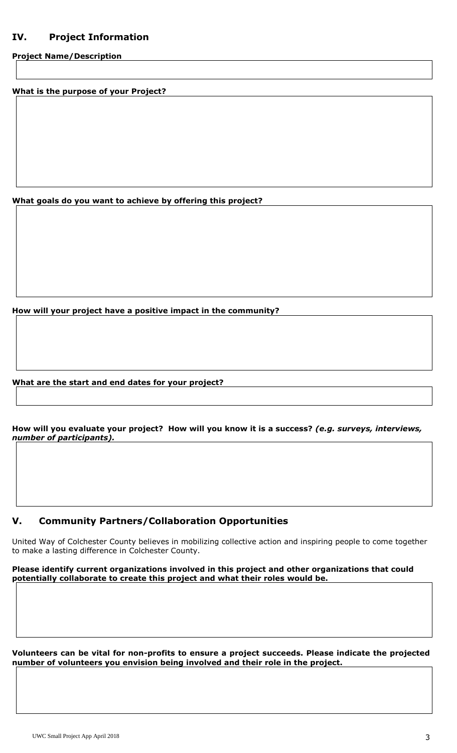# **IV. Project Information**

**Project Name/Description**

**What is the purpose of your Project?**

**What goals do you want to achieve by offering this project?**

**How will your project have a positive impact in the community?**

#### **What are the start and end dates for your project?**

**How will you evaluate your project? How will you know it is a success?** *(e.g. surveys, interviews, number of participants).*

## **V. Community Partners/Collaboration Opportunities**

United Way of Colchester County believes in mobilizing collective action and inspiring people to come together to make a lasting difference in Colchester County.

**Please identify current organizations involved in this project and other organizations that could potentially collaborate to create this project and what their roles would be.**

**Volunteers can be vital for non-profits to ensure a project succeeds. Please indicate the projected number of volunteers you envision being involved and their role in the project.**